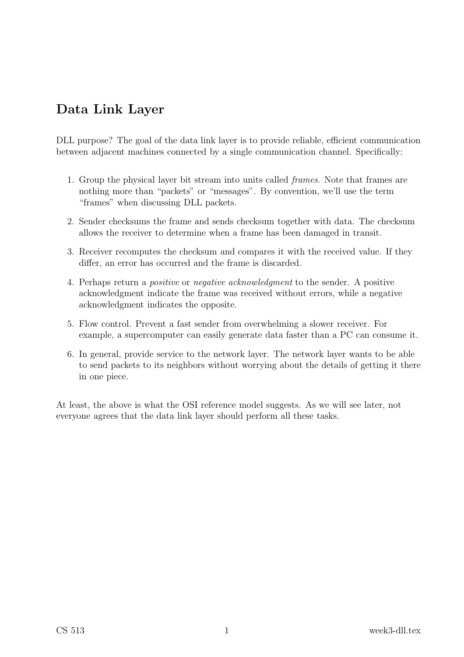# Data Link Layer

DLL purpose? The goal of the data link layer is to provide reliable, efficient communication between adjacent machines connected by a single communication channel. Specifically:

- 1. Group the physical layer bit stream into units called frames. Note that frames are nothing more than "packets" or "messages". By convention, we'll use the term "frames" when discussing DLL packets.
- 2. Sender checksums the frame and sends checksum together with data. The checksum allows the receiver to determine when a frame has been damaged in transit.
- 3. Receiver recomputes the checksum and compares it with the received value. If they differ, an error has occurred and the frame is discarded.
- 4. Perhaps return a positive or negative acknowledgment to the sender. A positive acknowledgment indicate the frame was received without errors, while a negative acknowledgment indicates the opposite.
- 5. Flow control. Prevent a fast sender from overwhelming a slower receiver. For example, a supercomputer can easily generate data faster than a PC can consume it.
- 6. In general, provide service to the network layer. The network layer wants to be able to send packets to its neighbors without worrying about the details of getting it there in one piece.

At least, the above is what the OSI reference model suggests. As we will see later, not everyone agrees that the data link layer should perform all these tasks.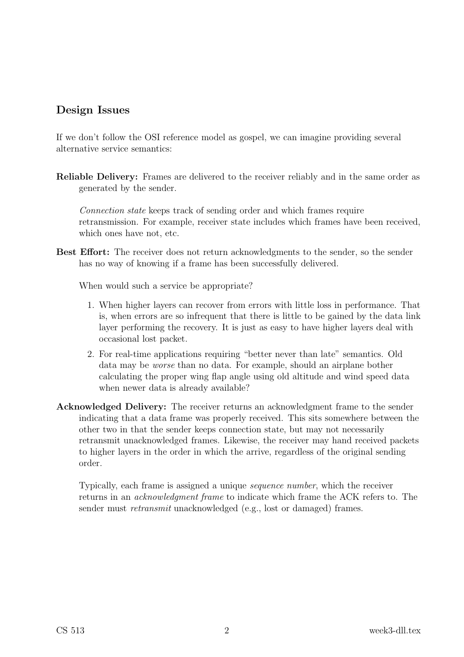### Design Issues

If we don't follow the OSI reference model as gospel, we can imagine providing several alternative service semantics:

Reliable Delivery: Frames are delivered to the receiver reliably and in the same order as generated by the sender.

Connection state keeps track of sending order and which frames require retransmission. For example, receiver state includes which frames have been received, which ones have not, etc.

Best Effort: The receiver does not return acknowledgments to the sender, so the sender has no way of knowing if a frame has been successfully delivered.

When would such a service be appropriate?

- 1. When higher layers can recover from errors with little loss in performance. That is, when errors are so infrequent that there is little to be gained by the data link layer performing the recovery. It is just as easy to have higher layers deal with occasional lost packet.
- 2. For real-time applications requiring "better never than late" semantics. Old data may be worse than no data. For example, should an airplane bother calculating the proper wing flap angle using old altitude and wind speed data when newer data is already available?
- Acknowledged Delivery: The receiver returns an acknowledgment frame to the sender indicating that a data frame was properly received. This sits somewhere between the other two in that the sender keeps connection state, but may not necessarily retransmit unacknowledged frames. Likewise, the receiver may hand received packets to higher layers in the order in which the arrive, regardless of the original sending order.

Typically, each frame is assigned a unique sequence number, which the receiver returns in an *acknowledgment frame* to indicate which frame the ACK refers to. The sender must *retransmit* unacknowledged (e.g., lost or damaged) frames.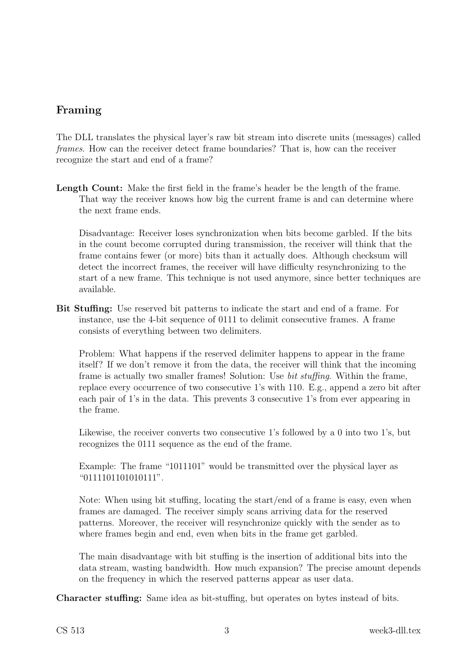## Framing

The DLL translates the physical layer's raw bit stream into discrete units (messages) called frames. How can the receiver detect frame boundaries? That is, how can the receiver recognize the start and end of a frame?

Length Count: Make the first field in the frame's header be the length of the frame. That way the receiver knows how big the current frame is and can determine where the next frame ends.

Disadvantage: Receiver loses synchronization when bits become garbled. If the bits in the count become corrupted during transmission, the receiver will think that the frame contains fewer (or more) bits than it actually does. Although checksum will detect the incorrect frames, the receiver will have difficulty resynchronizing to the start of a new frame. This technique is not used anymore, since better techniques are available.

Bit Stuffing: Use reserved bit patterns to indicate the start and end of a frame. For instance, use the 4-bit sequence of 0111 to delimit consecutive frames. A frame consists of everything between two delimiters.

Problem: What happens if the reserved delimiter happens to appear in the frame itself? If we don't remove it from the data, the receiver will think that the incoming frame is actually two smaller frames! Solution: Use bit stuffing. Within the frame, replace every occurrence of two consecutive 1's with 110. E.g., append a zero bit after each pair of 1's in the data. This prevents 3 consecutive 1's from ever appearing in the frame.

Likewise, the receiver converts two consecutive 1's followed by a 0 into two 1's, but recognizes the 0111 sequence as the end of the frame.

Example: The frame "1011101" would be transmitted over the physical layer as "0111101101010111".

Note: When using bit stuffing, locating the start/end of a frame is easy, even when frames are damaged. The receiver simply scans arriving data for the reserved patterns. Moreover, the receiver will resynchronize quickly with the sender as to where frames begin and end, even when bits in the frame get garbled.

The main disadvantage with bit stuffing is the insertion of additional bits into the data stream, wasting bandwidth. How much expansion? The precise amount depends on the frequency in which the reserved patterns appear as user data.

Character stuffing: Same idea as bit-stuffing, but operates on bytes instead of bits.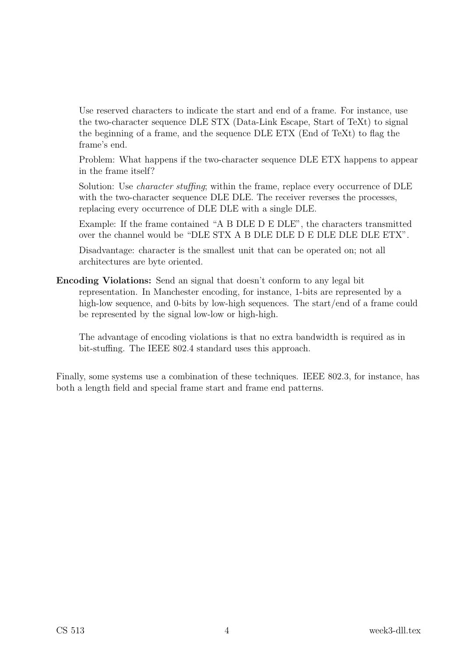Use reserved characters to indicate the start and end of a frame. For instance, use the two-character sequence DLE STX (Data-Link Escape, Start of TeXt) to signal the beginning of a frame, and the sequence DLE ETX (End of TeXt) to flag the frame's end.

Problem: What happens if the two-character sequence DLE ETX happens to appear in the frame itself?

Solution: Use *character stuffing*; within the frame, replace every occurrence of DLE with the two-character sequence DLE DLE. The receiver reverses the processes, replacing every occurrence of DLE DLE with a single DLE.

Example: If the frame contained "A B DLE D E DLE", the characters transmitted over the channel would be "DLE STX A B DLE DLE D E DLE DLE DLE ETX".

Disadvantage: character is the smallest unit that can be operated on; not all architectures are byte oriented.

Encoding Violations: Send an signal that doesn't conform to any legal bit representation. In Manchester encoding, for instance, 1-bits are represented by a high-low sequence, and 0-bits by low-high sequences. The start/end of a frame could be represented by the signal low-low or high-high.

The advantage of encoding violations is that no extra bandwidth is required as in bit-stuffing. The IEEE 802.4 standard uses this approach.

Finally, some systems use a combination of these techniques. IEEE 802.3, for instance, has both a length field and special frame start and frame end patterns.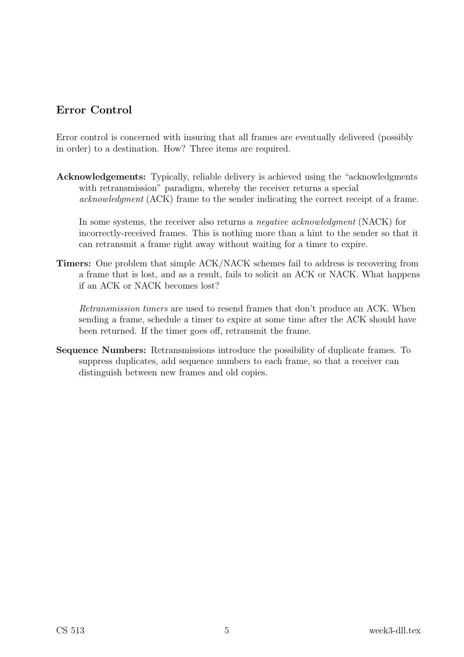## Error Control

Error control is concerned with insuring that all frames are eventually delivered (possibly in order) to a destination. How? Three items are required.

Acknowledgements: Typically, reliable delivery is achieved using the "acknowledgments with retransmission" paradigm, whereby the receiver returns a special acknowledgment (ACK) frame to the sender indicating the correct receipt of a frame.

In some systems, the receiver also returns a *negative acknowledgment* (NACK) for incorrectly-received frames. This is nothing more than a hint to the sender so that it can retransmit a frame right away without waiting for a timer to expire.

Timers: One problem that simple ACK/NACK schemes fail to address is recovering from a frame that is lost, and as a result, fails to solicit an ACK or NACK. What happens if an ACK or NACK becomes lost?

Retransmission timers are used to resend frames that don't produce an ACK. When sending a frame, schedule a timer to expire at some time after the ACK should have been returned. If the timer goes off, retransmit the frame.

Sequence Numbers: Retransmissions introduce the possibility of duplicate frames. To suppress duplicates, add sequence numbers to each frame, so that a receiver can distinguish between new frames and old copies.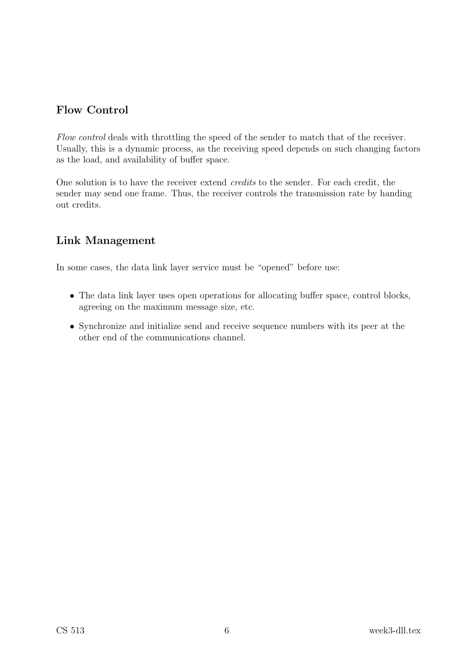## Flow Control

Flow control deals with throttling the speed of the sender to match that of the receiver. Usually, this is a dynamic process, as the receiving speed depends on such changing factors as the load, and availability of buffer space.

One solution is to have the receiver extend credits to the sender. For each credit, the sender may send one frame. Thus, the receiver controls the transmission rate by handing out credits.

### Link Management

In some cases, the data link layer service must be "opened" before use:

- The data link layer uses open operations for allocating buffer space, control blocks, agreeing on the maximum message size, etc.
- Synchronize and initialize send and receive sequence numbers with its peer at the other end of the communications channel.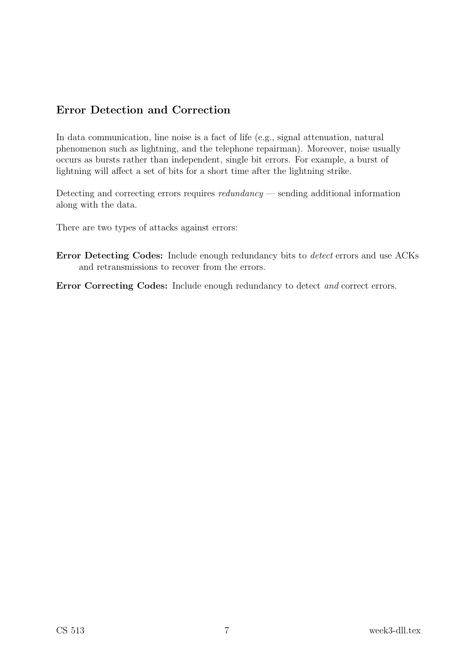## Error Detection and Correction

In data communication, line noise is a fact of life (e.g., signal attenuation, natural phenomenon such as lightning, and the telephone repairman). Moreover, noise usually occurs as bursts rather than independent, single bit errors. For example, a burst of lightning will affect a set of bits for a short time after the lightning strike.

Detecting and correcting errors requires redundancy — sending additional information along with the data.

There are two types of attacks against errors:

Error Detecting Codes: Include enough redundancy bits to detect errors and use ACKs and retransmissions to recover from the errors.

Error Correcting Codes: Include enough redundancy to detect and correct errors.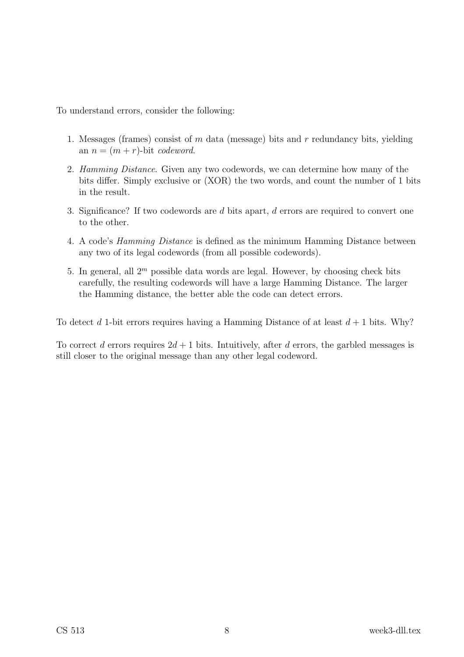To understand errors, consider the following:

- 1. Messages (frames) consist of  $m$  data (message) bits and  $r$  redundancy bits, yielding an  $n = (m + r)$ -bit codeword.
- 2. Hamming Distance. Given any two codewords, we can determine how many of the bits differ. Simply exclusive or (XOR) the two words, and count the number of 1 bits in the result.
- 3. Significance? If two codewords are d bits apart, d errors are required to convert one to the other.
- 4. A code's Hamming Distance is defined as the minimum Hamming Distance between any two of its legal codewords (from all possible codewords).
- 5. In general, all  $2<sup>m</sup>$  possible data words are legal. However, by choosing check bits carefully, the resulting codewords will have a large Hamming Distance. The larger the Hamming distance, the better able the code can detect errors.

To detect d 1-bit errors requires having a Hamming Distance of at least  $d+1$  bits. Why?

To correct d errors requires  $2d + 1$  bits. Intuitively, after d errors, the garbled messages is still closer to the original message than any other legal codeword.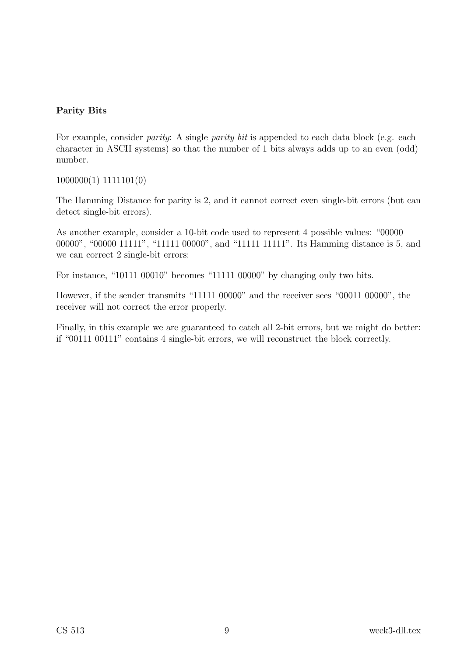### Parity Bits

For example, consider *parity:* A single *parity bit* is appended to each data block (e.g. each character in ASCII systems) so that the number of 1 bits always adds up to an even (odd) number.

1000000(1) 1111101(0)

The Hamming Distance for parity is 2, and it cannot correct even single-bit errors (but can detect single-bit errors).

As another example, consider a 10-bit code used to represent 4 possible values: "00000 00000", "00000 11111", "11111 00000", and "11111 11111". Its Hamming distance is 5, and we can correct 2 single-bit errors:

For instance, "10111 00010" becomes "11111 00000" by changing only two bits.

However, if the sender transmits "11111 00000" and the receiver sees "00011 00000", the receiver will not correct the error properly.

Finally, in this example we are guaranteed to catch all 2-bit errors, but we might do better: if "00111 00111" contains 4 single-bit errors, we will reconstruct the block correctly.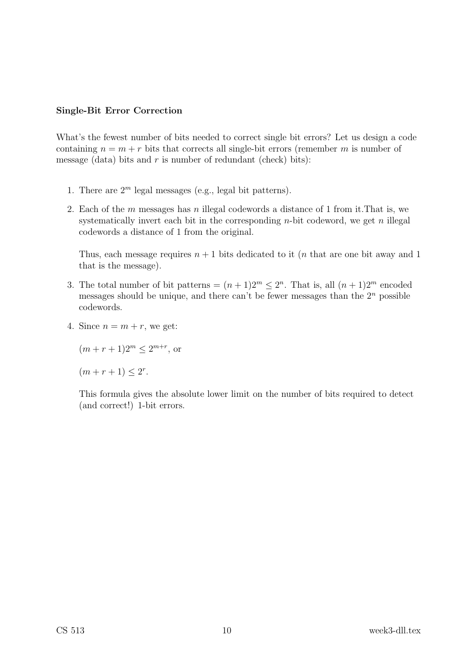### Single-Bit Error Correction

What's the fewest number of bits needed to correct single bit errors? Let us design a code containing  $n = m + r$  bits that corrects all single-bit errors (remember m is number of message (data) bits and r is number of redundant (check) bits):

- 1. There are  $2^m$  legal messages (e.g., legal bit patterns).
- 2. Each of the  $m$  messages has  $n$  illegal codewords a distance of 1 from it. That is, we systematically invert each bit in the corresponding  $n$ -bit codeword, we get  $n$  illegal codewords a distance of 1 from the original.

Thus, each message requires  $n + 1$  bits dedicated to it (*n* that are one bit away and 1 that is the message).

- 3. The total number of bit patterns =  $(n+1)2^m \leq 2^n$ . That is, all  $(n+1)2^m$  encoded messages should be unique, and there can't be fewer messages than the  $2<sup>n</sup>$  possible codewords.
- 4. Since  $n = m + r$ , we get:

$$
(m + r + 1)2^m \le 2^{m+r}
$$
, or

 $(m + r + 1) \leq 2^r$ .

This formula gives the absolute lower limit on the number of bits required to detect (and correct!) 1-bit errors.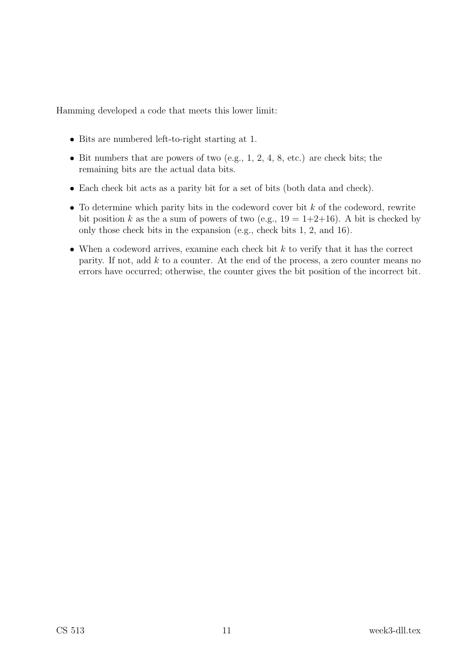Hamming developed a code that meets this lower limit:

- Bits are numbered left-to-right starting at 1.
- Bit numbers that are powers of two (e.g.,  $1, 2, 4, 8$ , etc.) are check bits; the remaining bits are the actual data bits.
- Each check bit acts as a parity bit for a set of bits (both data and check).
- To determine which parity bits in the codeword cover bit  $k$  of the codeword, rewrite bit position k as the a sum of powers of two (e.g.,  $19 = 1+2+16$ ). A bit is checked by only those check bits in the expansion (e.g., check bits 1, 2, and 16).
- When a codeword arrives, examine each check bit  $k$  to verify that it has the correct parity. If not, add  $k$  to a counter. At the end of the process, a zero counter means no errors have occurred; otherwise, the counter gives the bit position of the incorrect bit.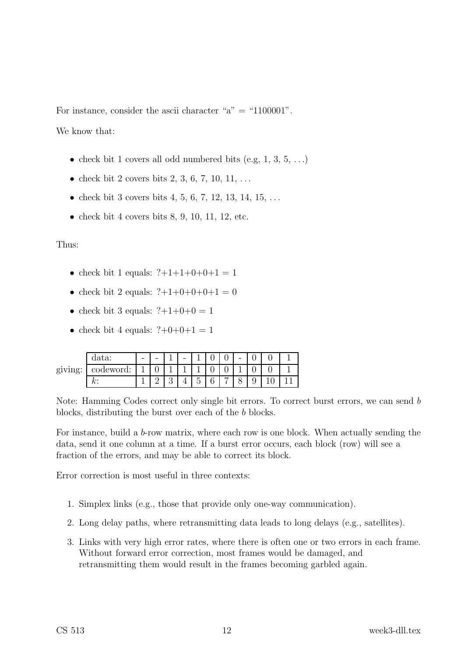For instance, consider the ascii character " $a$ " = "1100001".

We know that:

- check bit 1 covers all odd numbered bits (e.g,  $1, 3, 5, \ldots$ )
- check bit 2 covers bits 2, 3, 6, 7, 10, 11, ...
- check bit 3 covers bits 4, 5, 6, 7, 12, 13, 14, 15, ...
- check bit 4 covers bits  $8, 9, 10, 11, 12,$  etc.

#### Thus:

- check bit 1 equals:  $?+1+1+0+0+1 = 1$
- check bit 2 equals:  $?+1+0+0+0+1 = 0$
- check bit 3 equals:  $?+1+0+0=1$
- check bit 4 equals:  $?+0+0+1 = 1$

| $\pi$ $\alpha$<br>ਾ | data:             | $\qquad \qquad \blacksquare$ | - | - |                                    | v                     |   | $\overline{\phantom{0}}$ |        |  |
|---------------------|-------------------|------------------------------|---|---|------------------------------------|-----------------------|---|--------------------------|--------|--|
|                     | codeword:         |                              | ັ |   |                                    | ◡                     |   |                          |        |  |
|                     | <i>la</i> .<br>n. |                              |   |   | $\overline{\phantom{0}}$<br>ь<br>◡ | $\sim$<br>$\sim$<br>U | ⇁ | ◡                        | U<br>◡ |  |

Note: Hamming Codes correct only single bit errors. To correct burst errors, we can send b blocks, distributing the burst over each of the b blocks.

For instance, build a b-row matrix, where each row is one block. When actually sending the data, send it one column at a time. If a burst error occurs, each block (row) will see a fraction of the errors, and may be able to correct its block.

Error correction is most useful in three contexts:

- 1. Simplex links (e.g., those that provide only one-way communication).
- 2. Long delay paths, where retransmitting data leads to long delays (e.g., satellites).
- 3. Links with very high error rates, where there is often one or two errors in each frame. Without forward error correction, most frames would be damaged, and retransmitting them would result in the frames becoming garbled again.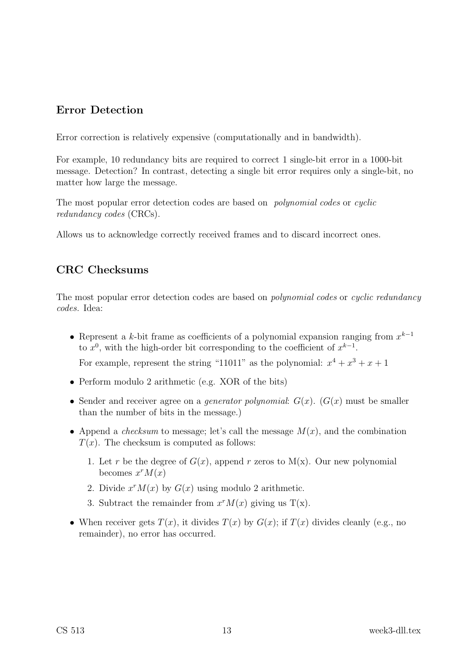### Error Detection

Error correction is relatively expensive (computationally and in bandwidth).

For example, 10 redundancy bits are required to correct 1 single-bit error in a 1000-bit message. Detection? In contrast, detecting a single bit error requires only a single-bit, no matter how large the message.

The most popular error detection codes are based on polynomial codes or cyclic redundancy codes (CRCs).

Allows us to acknowledge correctly received frames and to discard incorrect ones.

### CRC Checksums

The most popular error detection codes are based on *polynomial codes* or *cyclic redundancy* codes. Idea:

• Represent a k-bit frame as coefficients of a polynomial expansion ranging from  $x^{k-1}$ to  $x^0$ , with the high-order bit corresponding to the coefficient of  $x^{k-1}$ .

For example, represent the string "11011" as the polynomial:  $x^4 + x^3 + x + 1$ 

- Perform modulo 2 arithmetic (e.g. XOR of the bits)
- Sender and receiver agree on a *generator polynomial:*  $G(x)$ .  $(G(x))$  must be smaller than the number of bits in the message.)
- Append a *checksum* to message; let's call the message  $M(x)$ , and the combination  $T(x)$ . The checksum is computed as follows:
	- 1. Let r be the degree of  $G(x)$ , append r zeros to  $M(x)$ . Our new polynomial becomes  $x^r M(x)$
	- 2. Divide  $x^r M(x)$  by  $G(x)$  using modulo 2 arithmetic.
	- 3. Subtract the remainder from  $x^r M(x)$  giving us T(x).
- When receiver gets  $T(x)$ , it divides  $T(x)$  by  $G(x)$ ; if  $T(x)$  divides cleanly (e.g., no remainder), no error has occurred.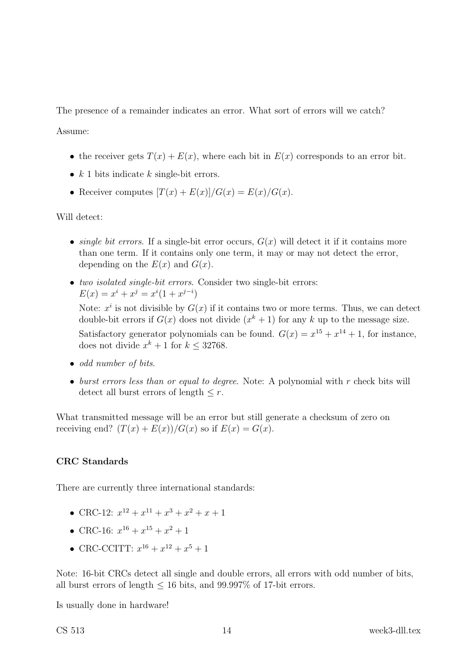The presence of a remainder indicates an error. What sort of errors will we catch?

Assume:

- the receiver gets  $T(x) + E(x)$ , where each bit in  $E(x)$  corresponds to an error bit.
- $k$  1 bits indicate  $k$  single-bit errors.
- Receiver computes  $[T(x) + E(x)]/G(x) = E(x)/G(x)$ .

Will detect:

- single bit errors. If a single-bit error occurs,  $G(x)$  will detect it if it contains more than one term. If it contains only one term, it may or may not detect the error, depending on the  $E(x)$  and  $G(x)$ .
- two isolated single-bit errors. Consider two single-bit errors:  $E(x) = x^i + x^j = x^i(1 + x^{j-i})$

Note:  $x^i$  is not divisible by  $G(x)$  if it contains two or more terms. Thus, we can detect double-bit errors if  $G(x)$  does not divide  $(x<sup>k</sup> + 1)$  for any k up to the message size. Satisfactory generator polynomials can be found.  $G(x) = x^{15} + x^{14} + 1$ , for instance, does not divide  $x^k + 1$  for  $k \leq 32768$ .

- odd number of bits.
- burst errors less than or equal to degree. Note: A polynomial with  $r$  check bits will detect all burst errors of length  $\leq r$ .

What transmitted message will be an error but still generate a checksum of zero on receiving end?  $(T(x) + E(x))/G(x)$  so if  $E(x) = G(x)$ .

### CRC Standards

There are currently three international standards:

- CRC-12:  $x^{12} + x^{11} + x^3 + x^2 + x + 1$
- CRC-16:  $x^{16} + x^{15} + x^2 + 1$
- CRC-CCITT:  $x^{16} + x^{12} + x^5 + 1$

Note: 16-bit CRCs detect all single and double errors, all errors with odd number of bits, all burst errors of length  $\leq 16$  bits, and 99.997\% of 17-bit errors.

Is usually done in hardware!